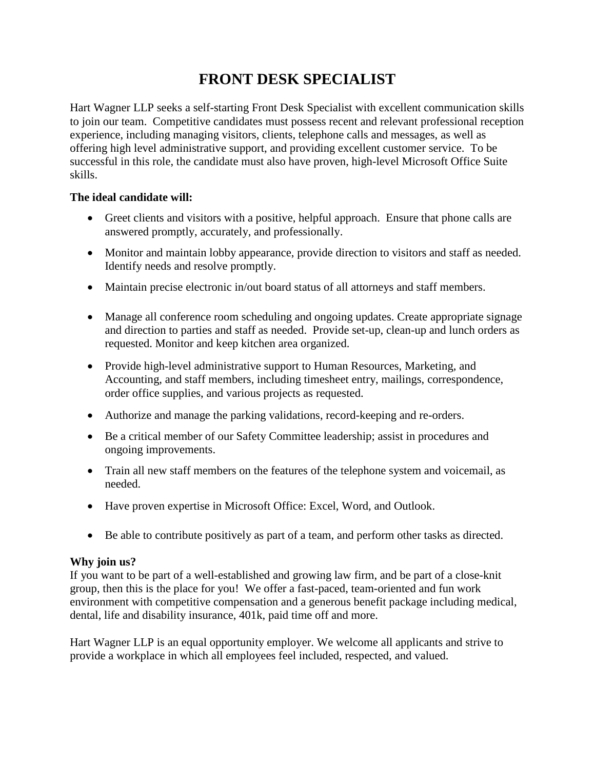## **FRONT DESK SPECIALIST**

Hart Wagner LLP seeks a self-starting Front Desk Specialist with excellent communication skills to join our team. Competitive candidates must possess recent and relevant professional reception experience, including managing visitors, clients, telephone calls and messages, as well as offering high level administrative support, and providing excellent customer service. To be successful in this role, the candidate must also have proven, high-level Microsoft Office Suite skills.

## **The ideal candidate will:**

- Greet clients and visitors with a positive, helpful approach. Ensure that phone calls are answered promptly, accurately, and professionally.
- Monitor and maintain lobby appearance, provide direction to visitors and staff as needed. Identify needs and resolve promptly.
- Maintain precise electronic in/out board status of all attorneys and staff members.
- Manage all conference room scheduling and ongoing updates. Create appropriate signage and direction to parties and staff as needed. Provide set-up, clean-up and lunch orders as requested. Monitor and keep kitchen area organized.
- Provide high-level administrative support to Human Resources, Marketing, and Accounting, and staff members, including timesheet entry, mailings, correspondence, order office supplies, and various projects as requested.
- Authorize and manage the parking validations, record-keeping and re-orders.
- Be a critical member of our Safety Committee leadership; assist in procedures and ongoing improvements.
- Train all new staff members on the features of the telephone system and voicemail, as needed.
- Have proven expertise in Microsoft Office: Excel, Word, and Outlook.
- Be able to contribute positively as part of a team, and perform other tasks as directed.

## **Why join us?**

If you want to be part of a well-established and growing law firm, and be part of a close-knit group, then this is the place for you! We offer a fast-paced, team-oriented and fun work environment with competitive compensation and a generous benefit package including medical, dental, life and disability insurance, 401k, paid time off and more.

Hart Wagner LLP is an equal opportunity employer. We welcome all applicants and strive to provide a workplace in which all employees feel included, respected, and valued.